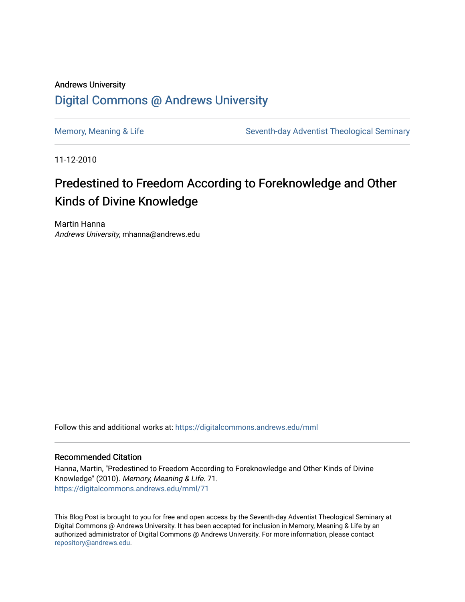## Andrews University [Digital Commons @ Andrews University](https://digitalcommons.andrews.edu/)

[Memory, Meaning & Life](https://digitalcommons.andrews.edu/mml) Seventh-day Adventist Theological Seminary

11-12-2010

# Predestined to Freedom According to Foreknowledge and Other Kinds of Divine Knowledge

Martin Hanna Andrews University, mhanna@andrews.edu

Follow this and additional works at: [https://digitalcommons.andrews.edu/mml](https://digitalcommons.andrews.edu/mml?utm_source=digitalcommons.andrews.edu%2Fmml%2F71&utm_medium=PDF&utm_campaign=PDFCoverPages) 

#### Recommended Citation

Hanna, Martin, "Predestined to Freedom According to Foreknowledge and Other Kinds of Divine Knowledge" (2010). Memory, Meaning & Life. 71. [https://digitalcommons.andrews.edu/mml/71](https://digitalcommons.andrews.edu/mml/71?utm_source=digitalcommons.andrews.edu%2Fmml%2F71&utm_medium=PDF&utm_campaign=PDFCoverPages)

This Blog Post is brought to you for free and open access by the Seventh-day Adventist Theological Seminary at Digital Commons @ Andrews University. It has been accepted for inclusion in Memory, Meaning & Life by an authorized administrator of Digital Commons @ Andrews University. For more information, please contact [repository@andrews.edu](mailto:repository@andrews.edu).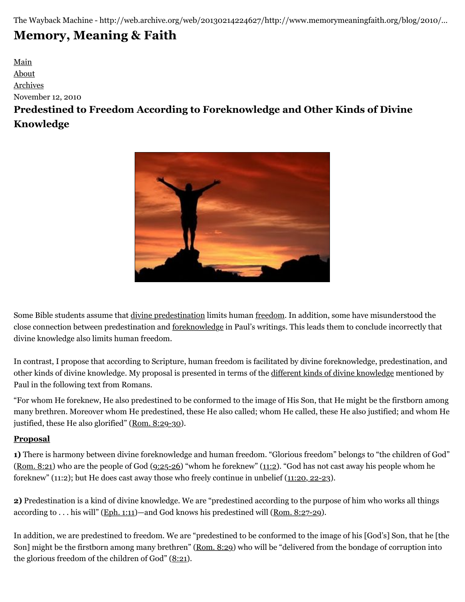The Wayback Machine - http://web.archive.org/web/20130214224627/http://www.memorymeaningfaith.org/blog/2010/…

# **[Memory, Meaning & Faith](http://web.archive.org/web/20130214224627/http://www.memorymeaningfaith.org/blog/)**

## [Main](http://web.archive.org/web/20130214224627/http://www.memorymeaningfaith.org/blog) [About](http://web.archive.org/web/20130214224627/http://www.memorymeaningfaith.org/blog/about.html) [Archives](http://web.archive.org/web/20130214224627/http://www.memorymeaningfaith.org/blog/archives.html) November 12, 2010 **Predestined to Freedom According to Foreknowledge and Other Kinds of Divine Knowledge**



Some Bible students assume that [divine predestination](http://web.archive.org/web/20130214224627/http://en.wikipedia.org/wiki/Predestination) limits human [freedom.](http://web.archive.org/web/20130214224627/http://en.wikipedia.org/wiki/Free_will_in_theology) In addition, some have misunderstood the close connection between predestination and [foreknowledge](http://web.archive.org/web/20130214224627/http://plato.stanford.edu/entries/free-will-foreknowledge/) in Paul's writings. This leads them to conclude incorrectly that divine knowledge also limits human freedom.

In contrast, I propose that according to Scripture, human freedom is facilitated by divine foreknowledge, predestination, and other kinds of divine knowledge. My proposal is presented in terms of the [different kinds of divine knowledge](http://web.archive.org/web/20130214224627/http://en.wikipedia.org/wiki/Omniscience) mentioned by Paul in the following text from Romans.

"For whom He foreknew, He also predestined to be conformed to the image of His Son, that He might be the firstborn among many brethren. Moreover whom He predestined, these He also called; whom He called, these He also justified; and whom He justified, these He also glorified" ([Rom. 8:29-30](http://web.archive.org/web/20130214224627/http://www.biblestudytools.com/nkj/romans/passage.aspx?q=romans+8:29-30)).

### **Proposal**

**1)** There is harmony between divine foreknowledge and human freedom. "Glorious freedom" belongs to "the children of God" ([Rom. 8:21](http://web.archive.org/web/20130214224627/http://www.biblestudytools.com/nkj/romans/8-21.html)) who are the people of God ([9:25-26\)](http://web.archive.org/web/20130214224627/http://www.biblestudytools.com/nkj/romans/passage.aspx?q=romans+9:25-26) "whom he foreknew" [\(11:2](http://web.archive.org/web/20130214224627/http://www.biblestudytools.com/nkj/romans/11-2.html)). "God has not cast away his people whom he foreknew" (11:2); but He does cast away those who freely continue in unbelief ([11:20, 22-23](http://web.archive.org/web/20130214224627/http://www.biblestudytools.com/nkj/romans/passage.aspx?q=romans+11:20;romans+11:22-23)).

**2)** Predestination is a kind of divine knowledge. We are "predestined according to the purpose of him who works all things according to . . . his will" ([Eph. 1:11](http://web.archive.org/web/20130214224627/http://www.biblestudytools.com/nkj/ephesians/1-11.html))—and God knows his predestined will ([Rom. 8:27-29](http://web.archive.org/web/20130214224627/http://www.biblestudytools.com/nkj/romans/passage.aspx?q=romans+8:27-29)).

In addition, we are predestined to freedom. We are "predestined to be conformed to the image of his [God's] Son, that he [the Son] might be the firstborn among many brethren" [\(Rom. 8:29\)](http://web.archive.org/web/20130214224627/http://www.biblestudytools.com/nkj/romans/8-29.html) who will be "delivered from the bondage of corruption into the glorious freedom of the children of God"  $(8:21)$  $(8:21)$  $(8:21)$ .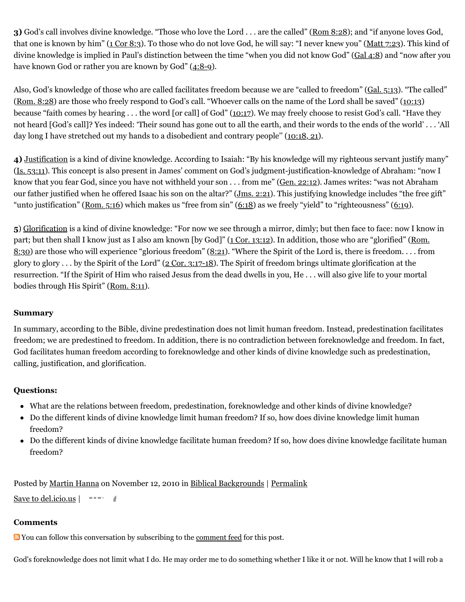**3)** God's call involves divine knowledge. "Those who love the Lord . . . are the called" [\(Rom 8:28](http://web.archive.org/web/20130214224627/http://www.biblestudytools.com/nkj/romans/8-28.html)); and "if anyone loves God, that one is known by him" [\(1 Cor 8:3\)](http://web.archive.org/web/20130214224627/http://www.biblestudytools.com/nkj/1-corinthians/8-3.html). To those who do not love God, he will say: "I never knew you" ([Matt 7:23](http://web.archive.org/web/20130214224627/http://www.biblestudytools.com/nkj/matthew/7-23.html)). This kind of divine knowledge is implied in Paul's distinction between the time "when you did not know God" ([Gal 4:8](http://web.archive.org/web/20130214224627/http://www.biblestudytools.com/nkj/galatians/4-8.html)) and "now after you have known God or rather you are known by God" ([4:8-9\)](http://web.archive.org/web/20130214224627/http://www.biblestudytools.com/nkj/galatians/passage.aspx?q=galatians+4:8-9).

Also, God's knowledge of those who are called facilitates freedom because we are "called to freedom" [\(Gal. 5:13](http://web.archive.org/web/20130214224627/http://www.biblestudytools.com/nkj/galatians/5-13.html)). "The called" ([Rom. 8:28\)](http://web.archive.org/web/20130214224627/http://www.biblestudytools.com/nkj/romans/8-28.html) are those who freely respond to God's call. "Whoever calls on the name of the Lord shall be saved" ([10:13](http://web.archive.org/web/20130214224627/http://www.biblestudytools.com/nkj/romans/10-13.html)) because "faith comes by hearing . . . the word [or call] of God" [\(10:17](http://web.archive.org/web/20130214224627/http://www.biblestudytools.com/nkj/romans/10-17.html)). We may freely choose to resist God's call. "Have they not heard [God's call]? Yes indeed: 'Their sound has gone out to all the earth, and their words to the ends of the world' . . . 'All day long I have stretched out my hands to a disobedient and contrary people'' ([10:18, 21](http://web.archive.org/web/20130214224627/http://www.biblestudytools.com/nkj/romans/passage.aspx?q=romans+10:18;romans+10:21)).

**4)** [Justification](http://web.archive.org/web/20130214224627/http://en.wikipedia.org/wiki/Justification_%28theology%29) is a kind of divine knowledge. According to Isaiah: "By his knowledge will my righteous servant justify many" ([Is. 53:11](http://web.archive.org/web/20130214224627/http://www.biblestudytools.com/nkj/isaiah/53-11.html)). This concept is also present in James' comment on God's judgment-justification-knowledge of Abraham: "now I know that you fear God, since you have not withheld your son . . . from me" [\(Gen. 22:12\)](http://web.archive.org/web/20130214224627/http://www.biblestudytools.com/nkj/genesis/22-12.html). James writes: "was not Abraham our father justified when he offered Isaac his son on the altar?" [\(Jms. 2:21\)](http://web.archive.org/web/20130214224627/http://www.biblestudytools.com/nkj/james/2-21.html). This justifying knowledge includes "the free gift" "unto justification" (Rom.  $5:16$ ) which makes us "free from sin" ( $6:18$ ) as we freely "yield" to "righteousness" ( $6:19$ ).

**5**) [Glorification](http://web.archive.org/web/20130214224627/http://en.wikipedia.org/wiki/Glorification) is a kind of divine knowledge: "For now we see through a mirror, dimly; but then face to face: now I know in [part; but then shall I know just as I also am known \[by God\]" \(](http://web.archive.org/web/20130214224627/http://www.biblestudytools.com/nkj/romans/8-30.html)[1 Cor. 13:12](http://web.archive.org/web/20130214224627/http://www.biblestudytools.com/nkj/1-corinthians/13-12.html)[\). In addition, those who are "glorified" \(Rom.](http://web.archive.org/web/20130214224627/http://www.biblestudytools.com/nkj/romans/8-30.html) 8:30) are those who will experience "glorious freedom" [\(8:21](http://web.archive.org/web/20130214224627/http://www.biblestudytools.com/nkj/romans/8-21.html)). "Where the Spirit of the Lord is, there is freedom. . . . from glory to glory  $\dots$  by the Spirit of the Lord" ( $2$  Cor. 3:17-18). The Spirit of freedom brings ultimate glorification at the resurrection. "If the Spirit of Him who raised Jesus from the dead dwells in you, He . . . will also give life to your mortal bodies through His Spirit" ([Rom. 8:11\)](http://web.archive.org/web/20130214224627/http://www.biblestudytools.com/nkj/romans/8-11.html).

#### **Summary**

In summary, according to the Bible, divine predestination does not limit human freedom. Instead, predestination facilitates freedom; we are predestined to freedom. In addition, there is no contradiction between foreknowledge and freedom. In fact, God facilitates human freedom according to foreknowledge and other kinds of divine knowledge such as predestination, calling, justification, and glorification.

#### **Questions:**

- What are the relations between freedom, predestination, foreknowledge and other kinds of divine knowledge?
- Do the different kinds of divine knowledge limit human freedom? If so, how does divine knowledge limit human freedom?
- Do the different kinds of divine knowledge facilitate human freedom? If so, how does divine knowledge facilitate human freedom?

Posted by [Martin Hanna](http://web.archive.org/web/20130214224627/http://profile.typepad.com/mhanna) on November 12, 2010 in [Biblical Backgrounds](http://web.archive.org/web/20130214224627/http://www.memorymeaningfaith.org/blog/biblical-backgrounds/) | [Permalink](http://web.archive.org/web/20130214224627/http://www.memorymeaningfaith.org/blog/2010/11/predestined-to-freedom.html)

[Save to del.icio.us](http://web.archive.org/web/20130214224627/http://del.icio.us/post) |

#### **Comments**

You can follow this conversation by subscribing to the [comment feed](http://web.archive.org/web/20130214224627/http://www.memorymeaningfaith.org/blog/2010/11/predestined-to-freedom/comments/atom.xml) for this post.

God's foreknowledge does not limit what I do. He may order me to do something whether I like it or not. Will he know that I will rob a